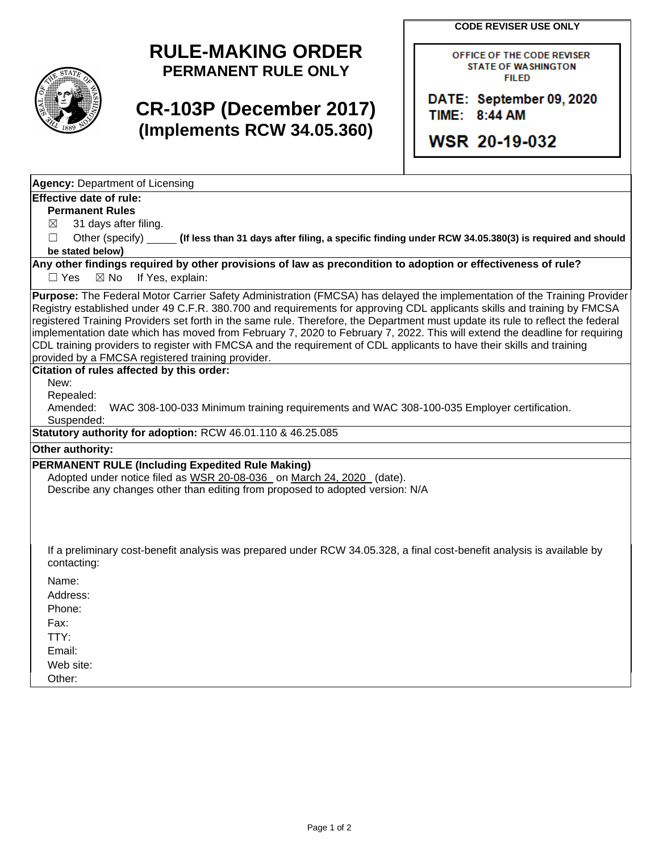**CODE REVISER USE ONLY**



## **RULE-MAKING ORDER PERMANENT RULE ONLY**

# **CR-103P (December 2017) (Implements RCW 34.05.360)**

OFFICE OF THE CODE REVISER **STATE OF WASHINGTON FILED** 

DATE: September 09, 2020 TIME: 8:44 AM

WSR 20-19-032

**Agency:** Department of Licensing

### **Effective date of rule:**

**Permanent Rules**

 $\boxtimes$  31 days after filing.

☐ Other (specify) **(If less than 31 days after filing, a specific finding under RCW 34.05.380(3) is required and should be stated below)**

**Any other findings required by other provisions of law as precondition to adoption or effectiveness of rule?**

□ Yes ⊠ No If Yes, explain:

**Purpose:** The Federal Motor Carrier Safety Administration (FMCSA) has delayed the implementation of the Training Provider Registry established under 49 C.F.R. 380.700 and requirements for approving CDL applicants skills and training by FMCSA registered Training Providers set forth in the same rule. Therefore, the Department must update its rule to reflect the federal implementation date which has moved from February 7, 2020 to February 7, 2022. This will extend the deadline for requiring CDL training providers to register with FMCSA and the requirement of CDL applicants to have their skills and training provided by a FMCSA registered training provider.

#### **Citation of rules affected by this order:**

New:

Repealed:<br>Amended:

WAC 308-100-033 Minimum training requirements and WAC 308-100-035 Employer certification. Suspended:

**Statutory authority for adoption:** RCW 46.01.110 & 46.25.085

**Other authority:** 

#### **PERMANENT RULE (Including Expedited Rule Making)**

Adopted under notice filed as WSR 20-08-036 on March 24, 2020 (date). Describe any changes other than editing from proposed to adopted version: N/A

If a preliminary cost-benefit analysis was prepared under RCW 34.05.328, a final cost-benefit analysis is available by contacting:

Name: Address:

Phone:

Fax:

TTY:

Email:

Web site:

Other: